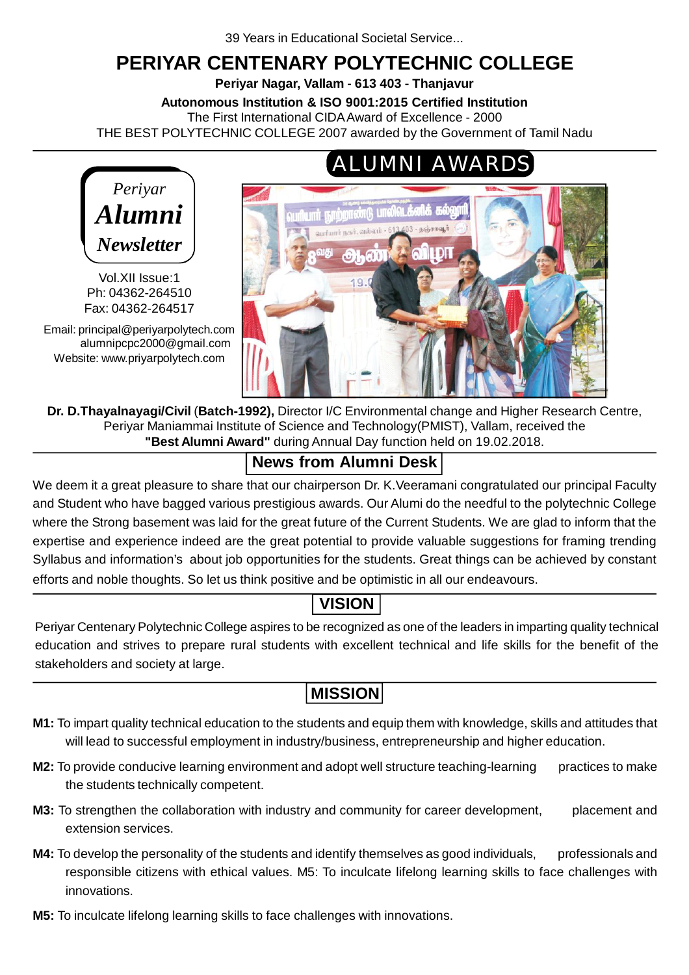# **PERIYAR CENTENARY POLYTECHNIC COLLEGE**

**Periyar Nagar, Vallam - 613 403 - Thanjavur**

**Autonomous Institution & ISO 9001:2015 Certified Institution**

The First International CIDA Award of Excellence - 2000

THE BEST POLYTECHNIC COLLEGE 2007 awarded by the Government of Tamil Nadu



Vol.XII Issue:1 Ph: 04362-264510 Fax: 04362-264517

Email: principal@periyarpolytech.com alumnipcpc2000@gmail.com Website: www.priyarpolytech.com



**Dr. D.Thayalnayagi/Civil** (**Batch-1992),** Director I/C Environmental change and Higher Research Centre, Periyar Maniammai Institute of Science and Technology(PMIST), Vallam, received the **"Best Alumni Award"** during Annual Day function held on 19.02.2018.

# **News from Alumni Desk**

We deem it a great pleasure to share that our chairperson Dr. K. Veeramani congratulated our principal Faculty and Student who have bagged various prestigious awards. Our Alumi do the needful to the polytechnic College where the Strong basement was laid for the great future of the Current Students. We are glad to inform that the expertise and experience indeed are the great potential to provide valuable suggestions for framing trending Syllabus and information's about job opportunities for the students. Great things can be achieved by constant efforts and noble thoughts. So let us think positive and be optimistic in all our endeavours.

# **VISION**

Periyar Centenary Polytechnic College aspires to be recognized as one of the leaders in imparting quality technical education and strives to prepare rural students with excellent technical and life skills for the benefit of the stakeholders and society at large.

# **MISSION**

- **M1:** To impart quality technical education to the students and equip them with knowledge, skills and attitudes that will lead to successful employment in industry/business, entrepreneurship and higher education.
- **M2:** To provide conducive learning environment and adopt well structure teaching-learning practices to make the students technically competent.
- **M3:** To strengthen the collaboration with industry and community for career development, placement and extension services.
- **M4:** To develop the personality of the students and identify themselves as good individuals, professionals and responsible citizens with ethical values. M5: To inculcate lifelong learning skills to face challenges with innovations.
- **M5:** To inculcate lifelong learning skills to face challenges with innovations.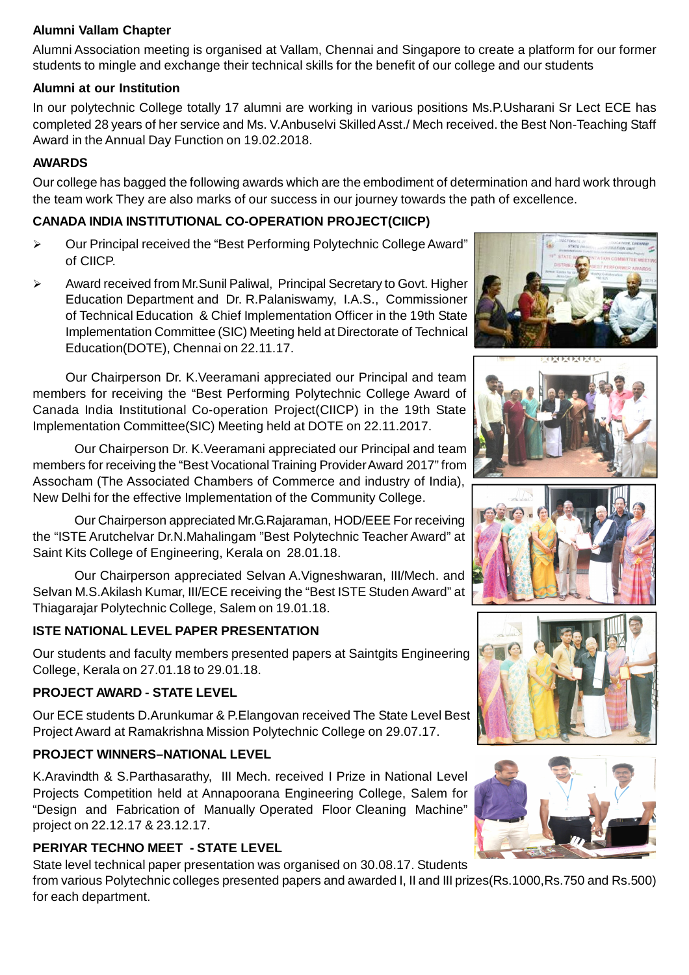#### **Alumni Vallam Chapter**

Alumni Association meeting is organised at Vallam, Chennai and Singapore to create a platform for our former students to mingle and exchange their technical skills for the benefit of our college and our students

#### **Alumni at our Institution**

In our polytechnic College totally 17 alumni are working in various positions Ms.P.Usharani Sr Lect ECE has completed 28 years of her service and Ms. V.Anbuselvi Skilled Asst./ Mech received. the Best Non-Teaching Staff Award in the Annual Day Function on 19.02.2018.

### **AWARDS**

Our college has bagged the following awards which are the embodiment of determination and hard work through the team work They are also marks of our success in our journey towards the path of excellence.

### **CANADA INDIA INSTITUTIONAL CO-OPERATION PROJECT(CIICP)**

- Our Principal received the "Best Performing Polytechnic College Award" of CIICP.
- Award received from Mr.Sunil Paliwal, Principal Secretary to Govt. Higher Education Department and Dr. R.Palaniswamy, I.A.S., Commissioner of Technical Education & Chief Implementation Officer in the 19th State Implementation Committee (SIC) Meeting held at Directorate of Technical Education(DOTE), Chennai on 22.11.17.

Our Chairperson Dr. K.Veeramani appreciated our Principal and team members for receiving the "Best Performing Polytechnic College Award of Canada India Institutional Co-operation Project(CIICP) in the 19th State Implementation Committee(SIC) Meeting held at DOTE on 22.11.2017.

Our Chairperson Dr. K.Veeramani appreciated our Principal and team members for receiving the "Best Vocational Training Provider Award 2017" from Assocham (The Associated Chambers of Commerce and industry of India), New Delhi for the effective Implementation of the Community College.

Our Chairperson appreciated Mr.G.Rajaraman, HOD/EEE For receiving the "ISTE Arutchelvar Dr.N.Mahalingam "Best Polytechnic Teacher Award" at Saint Kits College of Engineering, Kerala on 28.01.18.

Our Chairperson appreciated Selvan A.Vigneshwaran, III/Mech. and Selvan M.S.Akilash Kumar, III/ECE receiving the "Best ISTE Studen Award" at Thiagarajar Polytechnic College, Salem on 19.01.18.

## **ISTE NATIONAL LEVEL PAPER PRESENTATION**

Our students and faculty members presented papers at Saintgits Engineering College, Kerala on 27.01.18 to 29.01.18.

#### **PROJECT AWARD - STATE LEVEL**

Our ECE students D.Arunkumar & P.Elangovan received The State Level Best Project Award at Ramakrishna Mission Polytechnic College on 29.07.17.

## **PROJECT WINNERS–NATIONAL LEVEL**

K.Aravindth & S.Parthasarathy, III Mech. received I Prize in National Level Projects Competition held at Annapoorana Engineering College, Salem for "Design and Fabrication of Manually Operated Floor Cleaning Machine" project on 22.12.17 & 23.12.17.

## **PERIYAR TECHNO MEET - STATE LEVEL**

State level technical paper presentation was organised on 30.08.17. Students from various Polytechnic colleges presented papers and awarded I, II and III prizes(Rs.1000,Rs.750 and Rs.500) for each department.